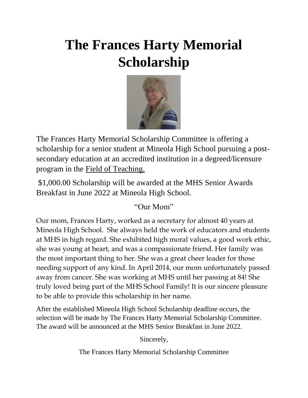# **The Frances Harty Memorial Scholarship**



The Frances Harty Memorial Scholarship Committee is offering a scholarship for a senior student at Mineola High School pursuing a postsecondary education at an accredited institution in a degreed/licensure program in the Field of Teaching.

\$1,000.00 Scholarship will be awarded at the MHS Senior Awards Breakfast in June 2022 at Mineola High School.

### "Our Mom"

Our mom, Frances Harty, worked as a secretary for almost 40 years at Mineola High School. She always held the work of educators and students at MHS in high regard. She exhibited high moral values, a good work ethic, she was young at heart, and was a compassionate friend. Her family was the most important thing to her. She was a great cheer leader for those needing support of any kind. In April 2014, our mom unfortunately passed away from cancer. She was working at MHS until her passing at 84! She truly loved being part of the MHS School Family! It is our sincere pleasure to be able to provide this scholarship in her name.

After the established Mineola High School Scholarship deadline occurs, the selection will be made by The Frances Harty Memorial Scholarship Committee. The award will be announced at the MHS Senior Breakfast in June 2022.

Sincerely,

The Frances Harty Memorial Scholarship Committee